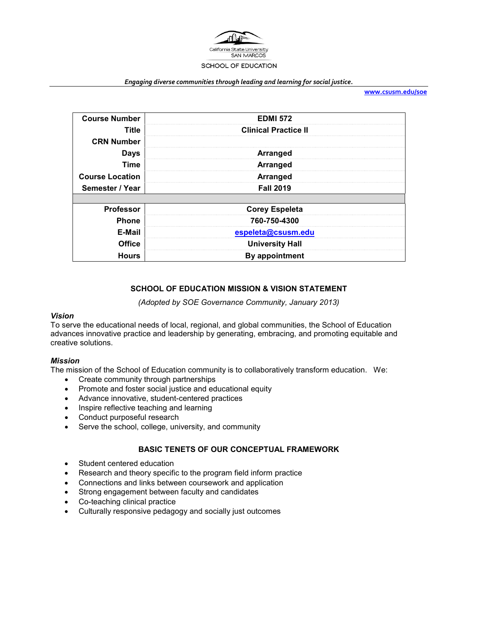

#### *Engaging diverse communities through leading and learning for social justice.*

**[www.csusm.edu/soe](http://www.csusm.edu/soe)**

| <b>Course Number</b>   | <b>EDMI 572</b>             |
|------------------------|-----------------------------|
| <b>Title</b>           | <b>Clinical Practice II</b> |
| <b>CRN Number</b>      |                             |
| <b>Days</b>            | <b>Arranged</b>             |
| <b>Time</b>            | Arranged                    |
| <b>Course Location</b> | Arranged                    |
| Semester / Year        | <b>Fall 2019</b>            |
|                        |                             |
| <b>Professor</b>       | <b>Corey Espeleta</b>       |
| <b>Phone</b>           | 760-750-4300                |
| E-Mail                 | espeleta@csusm.edu          |
| <b>Office</b>          | <b>University Hall</b>      |
| <b>Hours</b>           | By appointment              |

# **SCHOOL OF EDUCATION MISSION & VISION STATEMENT**

*(Adopted by SOE Governance Community, January 2013)*

### *Vision*

To serve the educational needs of local, regional, and global communities, the School of Education advances innovative practice and leadership by generating, embracing, and promoting equitable and creative solutions.

### *Mission*

The mission of the School of Education community is to collaboratively transform education. We:

- Create community through partnerships
- Promote and foster social justice and educational equity
- Advance innovative, student-centered practices
- Inspire reflective teaching and learning
- Conduct purposeful research
- Serve the school, college, university, and community

# **BASIC TENETS OF OUR CONCEPTUAL FRAMEWORK**

- Student centered education
- Research and theory specific to the program field inform practice
- Connections and links between coursework and application
- Strong engagement between faculty and candidates
- Co-teaching clinical practice
- Culturally responsive pedagogy and socially just outcomes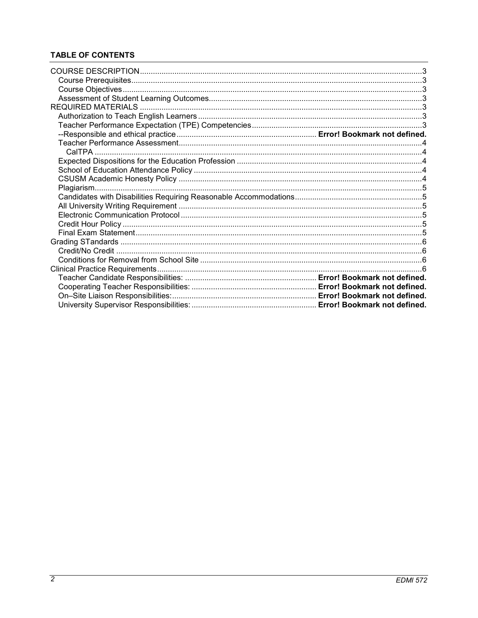# **TABLE OF CONTENTS**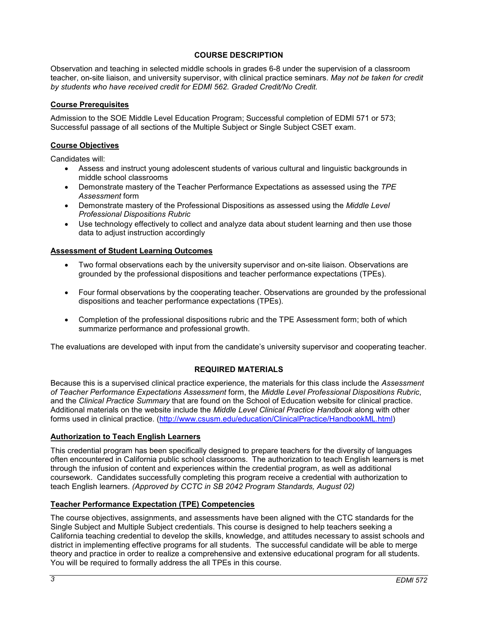# **COURSE DESCRIPTION**

<span id="page-2-0"></span>Observation and teaching in selected middle schools in grades 6-8 under the supervision of a classroom teacher, on-site liaison, and university supervisor, with clinical practice seminars. *May not be taken for credit by students who have received credit for EDMI 562. Graded Credit/No Credit.*

# <span id="page-2-1"></span>**Course Prerequisites**

Admission to the SOE Middle Level Education Program; Successful completion of EDMI 571 or 573; Successful passage of all sections of the Multiple Subject or Single Subject CSET exam.

### <span id="page-2-2"></span>**Course Objectives**

Candidates will:

- Assess and instruct young adolescent students of various cultural and linguistic backgrounds in middle school classrooms
- Demonstrate mastery of the Teacher Performance Expectations as assessed using the *TPE Assessment* form
- Demonstrate mastery of the Professional Dispositions as assessed using the *Middle Level Professional Dispositions Rubric*
- Use technology effectively to collect and analyze data about student learning and then use those data to adjust instruction accordingly

### <span id="page-2-3"></span>**Assessment of Student Learning Outcomes**

- Two formal observations each by the university supervisor and on-site liaison. Observations are grounded by the professional dispositions and teacher performance expectations (TPEs).
- Four formal observations by the cooperating teacher. Observations are grounded by the professional dispositions and teacher performance expectations (TPEs).
- Completion of the professional dispositions rubric and the TPE Assessment form; both of which summarize performance and professional growth.

<span id="page-2-4"></span>The evaluations are developed with input from the candidate's university supervisor and cooperating teacher.

### **REQUIRED MATERIALS**

Because this is a supervised clinical practice experience, the materials for this class include the *Assessment of Teacher Performance Expectations Assessment* form, the *Middle Level Professional Dispositions Rubric*, and the *Clinical Practice Summary* that are found on the School of Education website for clinical practice. Additional materials on the website include the *Middle Level Clinical Practice Handbook* along with other forms used in clinical practice. [\(http://www.csusm.edu/education/ClinicalPractice/HandbookML.html\)](http://www.csusm.edu/education/ClinicalPractice/HandbookML.html)

### <span id="page-2-5"></span>**Authorization to Teach English Learners**

This credential program has been specifically designed to prepare teachers for the diversity of languages often encountered in California public school classrooms. The authorization to teach English learners is met through the infusion of content and experiences within the credential program, as well as additional coursework. Candidates successfully completing this program receive a credential with authorization to teach English learners. *(Approved by CCTC in SB 2042 Program Standards, August 02)*

# <span id="page-2-6"></span>**Teacher Performance Expectation (TPE) Competencies**

The course objectives, assignments, and assessments have been aligned with the CTC standards for the Single Subject and Multiple Subject credentials. This course is designed to help teachers seeking a California teaching credential to develop the skills, knowledge, and attitudes necessary to assist schools and district in implementing effective programs for all students. The successful candidate will be able to merge theory and practice in order to realize a comprehensive and extensive educational program for all students. You will be required to formally address the all TPEs in this course.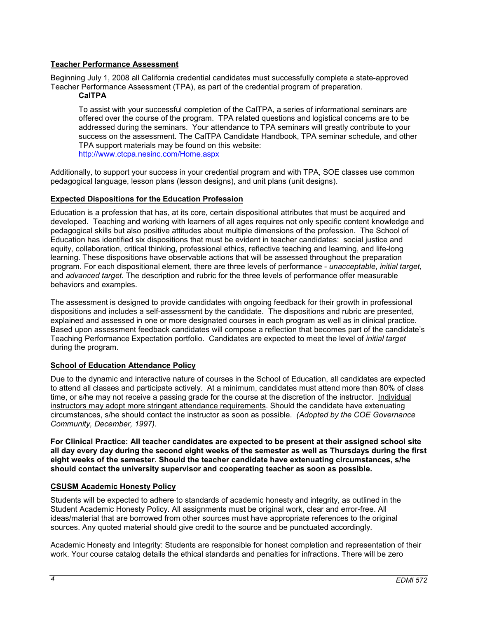# <span id="page-3-0"></span>**Teacher Performance Assessment**

<span id="page-3-1"></span>Beginning July 1, 2008 all California credential candidates must successfully complete a state-approved Teacher Performance Assessment (TPA), as part of the credential program of preparation.

### **CalTPA**

To assist with your successful completion of the CalTPA, a series of informational seminars are offered over the course of the program. TPA related questions and logistical concerns are to be addressed during the seminars. Your attendance to TPA seminars will greatly contribute to your success on the assessment. The CalTPA Candidate Handbook, TPA seminar schedule, and other TPA support materials may be found on this website: <http://www.ctcpa.nesinc.com/Home.aspx>

Additionally, to support your success in your credential program and with TPA, SOE classes use common pedagogical language, lesson plans (lesson designs), and unit plans (unit designs).

### <span id="page-3-2"></span>**Expected Dispositions for the Education Profession**

Education is a profession that has, at its core, certain dispositional attributes that must be acquired and developed. Teaching and working with learners of all ages requires not only specific content knowledge and pedagogical skills but also positive attitudes about multiple dimensions of the profession. The School of Education has identified six dispositions that must be evident in teacher candidates: social justice and equity, collaboration, critical thinking, professional ethics, reflective teaching and learning, and life-long learning. These dispositions have observable actions that will be assessed throughout the preparation program. For each dispositional element, there are three levels of performance - *unacceptable*, *initial target*, and *advanced target*. The description and rubric for the three levels of performance offer measurable behaviors and examples.

The assessment is designed to provide candidates with ongoing feedback for their growth in professional dispositions and includes a self-assessment by the candidate. The dispositions and rubric are presented, explained and assessed in one or more designated courses in each program as well as in clinical practice. Based upon assessment feedback candidates will compose a reflection that becomes part of the candidate's Teaching Performance Expectation portfolio. Candidates are expected to meet the level of *initial target* during the program.

### <span id="page-3-3"></span>**School of Education Attendance Policy**

Due to the dynamic and interactive nature of courses in the School of Education, all candidates are expected to attend all classes and participate actively. At a minimum, candidates must attend more than 80% of class time, or s/he may not receive a passing grade for the course at the discretion of the instructor. Individual instructors may adopt more stringent attendance requirements. Should the candidate have extenuating circumstances, s/he should contact the instructor as soon as possible. *(Adopted by the COE Governance Community, December, 1997).*

**For Clinical Practice: All teacher candidates are expected to be present at their assigned school site all day every day during the second eight weeks of the semester as well as Thursdays during the first eight weeks of the semester. Should the teacher candidate have extenuating circumstances, s/he should contact the university supervisor and cooperating teacher as soon as possible.** 

### <span id="page-3-4"></span>**CSUSM Academic Honesty Policy**

Students will be expected to adhere to standards of academic honesty and integrity, as outlined in the Student Academic Honesty Policy. All assignments must be original work, clear and error-free. All ideas/material that are borrowed from other sources must have appropriate references to the original sources. Any quoted material should give credit to the source and be punctuated accordingly.

Academic Honesty and Integrity: Students are responsible for honest completion and representation of their work. Your course catalog details the ethical standards and penalties for infractions. There will be zero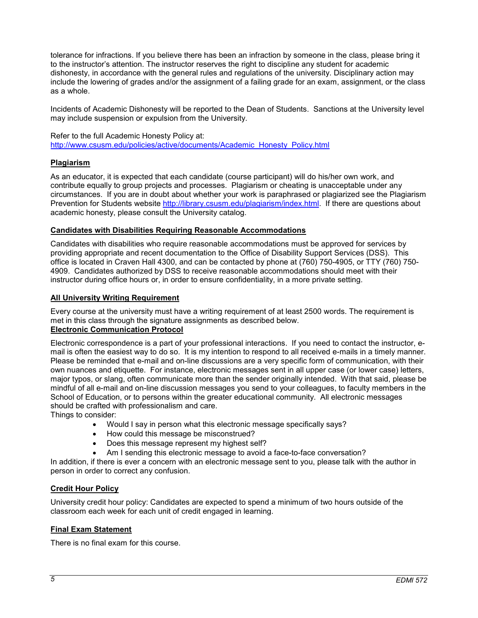<span id="page-4-6"></span>tolerance for infractions. If you believe there has been an infraction by someone in the class, please bring it to the instructor's attention. The instructor reserves the right to discipline any student for academic dishonesty, in accordance with the general rules and regulations of the university. Disciplinary action may include the lowering of grades and/or the assignment of a failing grade for an exam, assignment, or the class as a whole.

Incidents of Academic Dishonesty will be reported to the Dean of Students. Sanctions at the University level may include suspension or expulsion from the University.

Refer to the full Academic Honesty Policy at: [http://www.csusm.edu/policies/active/documents/Academic\\_Honesty\\_Policy.html](http://www.csusm.edu/policies/active/documents/Academic_Honesty_Policy.html)

# <span id="page-4-0"></span>**Plagiarism**

As an educator, it is expected that each candidate (course participant) will do his/her own work, and contribute equally to group projects and processes. Plagiarism or cheating is unacceptable under any circumstances. If you are in doubt about whether your work is paraphrased or plagiarized see the Plagiarism Prevention for Students website [http://library.csusm.edu/plagiarism/index.html.](http://library.csusm.edu/plagiarism/index.html) If there are questions about academic honesty, please consult the University catalog.

### <span id="page-4-1"></span>**Candidates with Disabilities Requiring Reasonable Accommodations**

Candidates with disabilities who require reasonable accommodations must be approved for services by providing appropriate and recent documentation to the Office of Disability Support Services (DSS). This office is located in Craven Hall 4300, and can be contacted by phone at (760) 750-4905, or TTY (760) 750- 4909. Candidates authorized by DSS to receive reasonable accommodations should meet with their instructor during office hours or, in order to ensure confidentiality, in a more private setting.

### <span id="page-4-2"></span>**All University Writing Requirement**

Every course at the university must have a writing requirement of at least 2500 words. The requirement is met in this class through the signature assignments as described below. **Electronic Communication Protocol**

<span id="page-4-3"></span>Electronic correspondence is a part of your professional interactions. If you need to contact the instructor, email is often the easiest way to do so. It is my intention to respond to all received e-mails in a timely manner. Please be reminded that e-mail and on-line discussions are a very specific form of communication, with their own nuances and etiquette. For instance, electronic messages sent in all upper case (or lower case) letters, major typos, or slang, often communicate more than the sender originally intended. With that said, please be mindful of all e-mail and on-line discussion messages you send to your colleagues, to faculty members in the School of Education, or to persons within the greater educational community. All electronic messages should be crafted with professionalism and care.

Things to consider:

- Would I say in person what this electronic message specifically says?
- How could this message be misconstrued?
- Does this message represent my highest self?
	- Am I sending this electronic message to avoid a face-to-face conversation?

In addition, if there is ever a concern with an electronic message sent to you, please talk with the author in person in order to correct any confusion.

### <span id="page-4-4"></span>**Credit Hour Policy**

University credit hour policy: Candidates are expected to spend a minimum of two hours outside of the classroom each week for each unit of credit engaged in learning.

### <span id="page-4-5"></span>**Final Exam Statement**

There is no final exam for this course.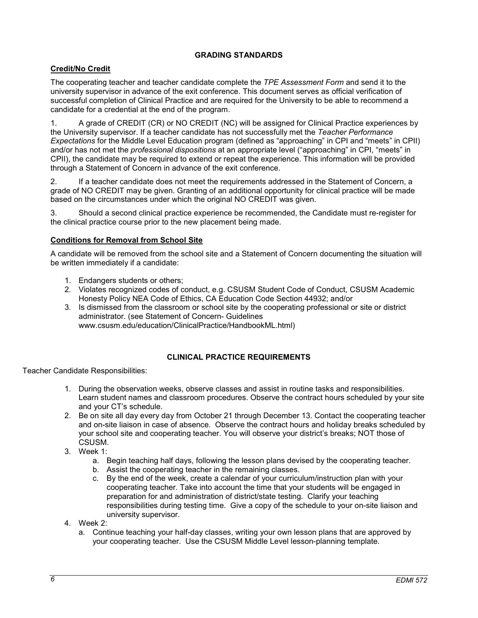# **GRADING STANDARDS**

# <span id="page-5-0"></span>**Credit/No Credit**

The cooperating teacher and teacher candidate complete the *TPE Assessment Form* and send it to the university supervisor in advance of the exit conference. This document serves as official verification of successful completion of Clinical Practice and are required for the University to be able to recommend a candidate for a credential at the end of the program.

1. A grade of CREDIT (CR) or NO CREDIT (NC) will be assigned for Clinical Practice experiences by the University supervisor. If a teacher candidate has not successfully met the *Teacher Performance Expectations* for the Middle Level Education program (defined as "approaching" in CPI and "meets" in CPII) and/or has not met the *professional dispositions* at an appropriate level ("approaching" in CPI, "meets" in CPII), the candidate may be required to extend or repeat the experience. This information will be provided through a Statement of Concern in advance of the exit conference.

2. If a teacher candidate does not meet the requirements addressed in the Statement of Concern, a grade of NO CREDIT may be given. Granting of an additional opportunity for clinical practice will be made based on the circumstances under which the original NO CREDIT was given.

3. Should a second clinical practice experience be recommended, the Candidate must re-register for the clinical practice course prior to the new placement being made.

# <span id="page-5-1"></span>**Conditions for Removal from School Site**

A candidate will be removed from the school site and a Statement of Concern documenting the situation will be written immediately if a candidate:

- 1. Endangers students or others;
- 2. Violates recognized codes of conduct, e.g. CSUSM Student Code of Conduct, CSUSM Academic Honesty Policy NEA Code of Ethics, CA Education Code Section 44932; and/or
- 3. Is dismissed from the classroom or school site by the cooperating professional or site or district administrator. (see Statement of Concern- Guidelines www.csusm.edu/education/ClinicalPractice/HandbookML.html)

# **CLINICAL PRACTICE REQUIREMENTS**

<span id="page-5-2"></span>Teacher Candidate Responsibilities:

- 1. During the observation weeks, observe classes and assist in routine tasks and responsibilities. Learn student names and classroom procedures. Observe the contract hours scheduled by your site and your CT's schedule.
- 2. Be on site all day every day from October 21 through December 13. Contact the cooperating teacher and on-site liaison in case of absence. Observe the contract hours and holiday breaks scheduled by your school site and cooperating teacher. You will observe your district's breaks; NOT those of CSUSM.
- 3. Week 1:
	- a. Begin teaching half days, following the lesson plans devised by the cooperating teacher.
	- b. Assist the cooperating teacher in the remaining classes.
	- c. By the end of the week, create a calendar of your curriculum/instruction plan with your cooperating teacher. Take into account the time that your students will be engaged in preparation for and administration of district/state testing. Clarify your teaching responsibilities during testing time. Give a copy of the schedule to your on-site liaison and university supervisor.
- 4. Week 2:
	- a. Continue teaching your half-day classes, writing your own lesson plans that are approved by your cooperating teacher. Use the CSUSM Middle Level lesson-planning template.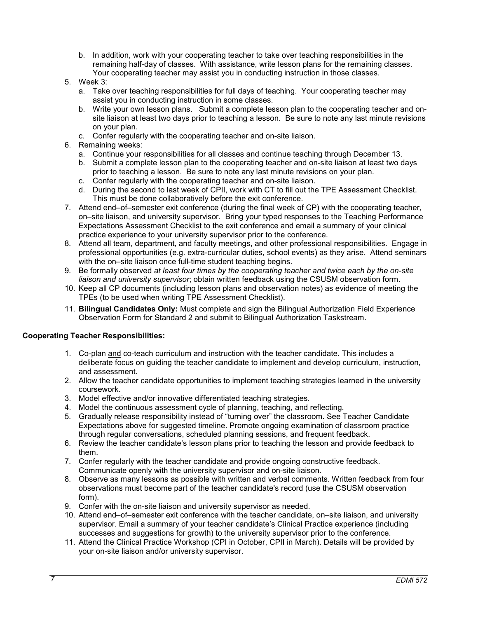- b. In addition, work with your cooperating teacher to take over teaching responsibilities in the remaining half-day of classes. With assistance, write lesson plans for the remaining classes. Your cooperating teacher may assist you in conducting instruction in those classes.
- 5. Week 3:
	- a. Take over teaching responsibilities for full days of teaching. Your cooperating teacher may assist you in conducting instruction in some classes.
	- b. Write your own lesson plans. Submit a complete lesson plan to the cooperating teacher and onsite liaison at least two days prior to teaching a lesson. Be sure to note any last minute revisions on your plan.
	- c. Confer regularly with the cooperating teacher and on-site liaison.
- 6. Remaining weeks:
	- a. Continue your responsibilities for all classes and continue teaching through December 13.
	- b. Submit a complete lesson plan to the cooperating teacher and on-site liaison at least two days prior to teaching a lesson. Be sure to note any last minute revisions on your plan.
	- c. Confer regularly with the cooperating teacher and on-site liaison.
	- d. During the second to last week of CPII, work with CT to fill out the TPE Assessment Checklist. This must be done collaboratively before the exit conference.
- 7. Attend end–of–semester exit conference (during the final week of CP) with the cooperating teacher, on–site liaison, and university supervisor. Bring your typed responses to the Teaching Performance Expectations Assessment Checklist to the exit conference and email a summary of your clinical practice experience to your university supervisor prior to the conference.
- 8. Attend all team, department, and faculty meetings, and other professional responsibilities. Engage in professional opportunities (e.g. extra-curricular duties, school events) as they arise. Attend seminars with the on–site liaison once full-time student teaching begins.
- 9. Be formally observed *at least four times by the cooperating teacher and twice each by the on-site liaison and university supervisor*; obtain written feedback using the CSUSM observation form.
- 10. Keep all CP documents (including lesson plans and observation notes) as evidence of meeting the TPEs (to be used when writing TPE Assessment Checklist).
- 11. **Bilingual Candidates Only:** Must complete and sign the Bilingual Authorization Field Experience Observation Form for Standard 2 and submit to Bilingual Authorization Taskstream.

# **Cooperating Teacher Responsibilities:**

- 1. Co-plan and co-teach curriculum and instruction with the teacher candidate. This includes a deliberate focus on guiding the teacher candidate to implement and develop curriculum, instruction, and assessment.
- 2. Allow the teacher candidate opportunities to implement teaching strategies learned in the university coursework.
- 3. Model effective and/or innovative differentiated teaching strategies.
- 4. Model the continuous assessment cycle of planning, teaching, and reflecting.
- 5. Gradually release responsibility instead of "turning over" the classroom. See Teacher Candidate Expectations above for suggested timeline. Promote ongoing examination of classroom practice through regular conversations, scheduled planning sessions, and frequent feedback.
- 6. Review the teacher candidate's lesson plans prior to teaching the lesson and provide feedback to them.
- 7. Confer regularly with the teacher candidate and provide ongoing constructive feedback. Communicate openly with the university supervisor and on-site liaison.
- 8. Observe as many lessons as possible with written and verbal comments. Written feedback from four observations must become part of the teacher candidate's record (use the CSUSM observation form).
- 9. Confer with the on-site liaison and university supervisor as needed.
- 10. Attend end–of–semester exit conference with the teacher candidate, on–site liaison, and university supervisor. Email a summary of your teacher candidate's Clinical Practice experience (including successes and suggestions for growth) to the university supervisor prior to the conference.
- 11. Attend the Clinical Practice Workshop (CPI in October, CPII in March). Details will be provided by your on-site liaison and/or university supervisor.